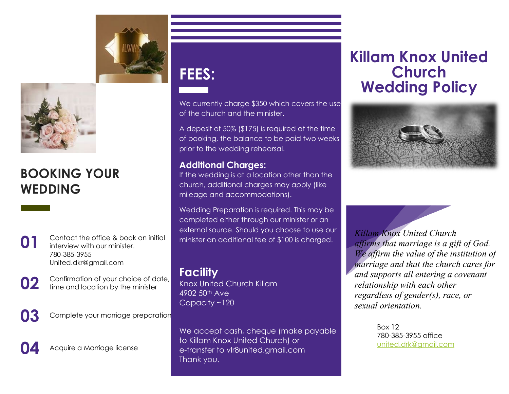



### **BOOKING YOUR WEDDING**



**01** Contact the office & book an initial interview with our minister. 780-385-3955 United.dkr@gmail.com



**02** Confirmation of your choice of date,<br>
time and location by the minister

**03** Complete your marriage preparation



Acquire a Marriage license

# **FEES:**

We currently charge \$350 which covers the use of the church and the minister.

A deposit of 50% (\$175) is required at the time of booking, the balance to be paid two weeks prior to the wedding rehearsal.

#### **Additional Charges:**

If the wedding is at a location other than the church, additional charges may apply (like mileage and accommodations).

Wedding Preparation is required. This may be completed either through our minister or an external source. Should you choose to use our minister an additional fee of \$100 is charged.

#### **Facility**

Knox United Church Killam 4902 50th Ave Capacity ~120

We accept cash, cheque (make payable to Killam Knox United Church) or e-transfer to vlr8united.gmail.com Thank you.

### **Killam Knox United Church Wedding Policy**



*Killam Knox United Church affirms that marriage is a gift of God. We affirm the value of the institution of marriage and that the church cares for and supports all entering a covenant relationship with each other regardless of gender(s), race, or sexual orientation.*

> Box 12 780-385-3955 office [united.drk@gmail.com](mailto:united.drk@gmail.com)